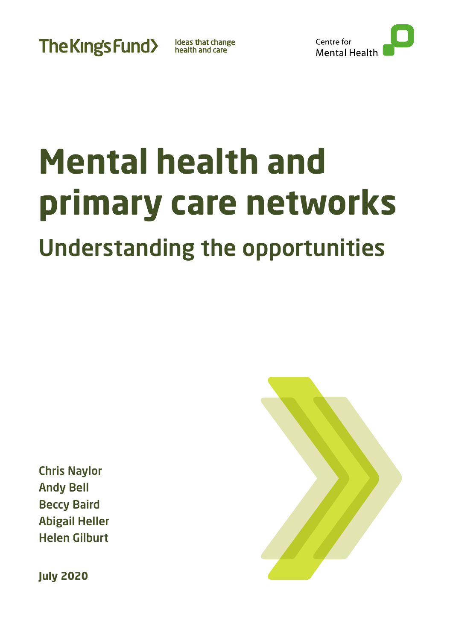**The Kings Fund>** 

Ideas that change<br>health and care



# **Mental health and primary care networks** Understanding the opportunities

Chris Naylor Andy Bell Beccy Baird Abigail Heller Helen Gilburt

**July 2020**

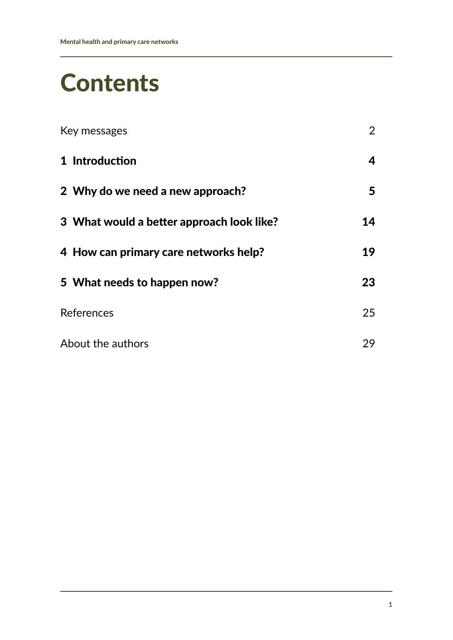# **Contents**

| Key messages                                       | $\overline{2}$ |
|----------------------------------------------------|----------------|
| 1 Introduction<br>2 Why do we need a new approach? | 4<br>5         |
|                                                    |                |
| 4 How can primary care networks help?              | 19             |
| 5 What needs to happen now?                        | 23             |
| References                                         | 25             |
| About the authors                                  | 29             |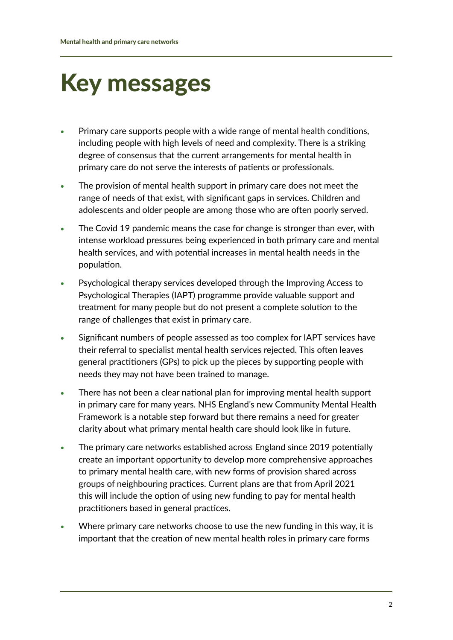# <span id="page-2-0"></span>Key messages

- **•** Primary care supports people with a wide range of mental health conditions, including people with high levels of need and complexity. There is a striking degree of consensus that the current arrangements for mental health in primary care do not serve the interests of patients or professionals.
- **•** The provision of mental health support in primary care does not meet the range of needs of that exist, with significant gaps in services. Children and adolescents and older people are among those who are often poorly served.
- **•** The Covid 19 pandemic means the case for change is stronger than ever, with intense workload pressures being experienced in both primary care and mental health services, and with potential increases in mental health needs in the population.
- **•** Psychological therapy services developed through the Improving Access to Psychological Therapies (IAPT) programme provide valuable support and treatment for many people but do not present a complete solution to the range of challenges that exist in primary care.
- **•** Significant numbers of people assessed as too complex for IAPT services have their referral to specialist mental health services rejected. This often leaves general practitioners (GPs) to pick up the pieces by supporting people with needs they may not have been trained to manage.
- **•** There has not been a clear national plan for improving mental health support in primary care for many years. NHS England's new Community Mental Health Framework is a notable step forward but there remains a need for greater clarity about what primary mental health care should look like in future.
- **•** The primary care networks established across England since 2019 potentially create an important opportunity to develop more comprehensive approaches to primary mental health care, with new forms of provision shared across groups of neighbouring practices. Current plans are that from April 2021 this will include the option of using new funding to pay for mental health practitioners based in general practices.
- **•** Where primary care networks choose to use the new funding in this way, it is important that the creation of new mental health roles in primary care forms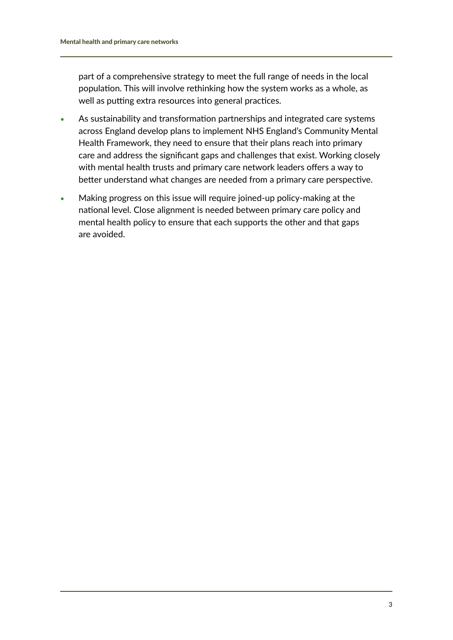part of a comprehensive strategy to meet the full range of needs in the local population. This will involve rethinking how the system works as a whole, as well as putting extra resources into general practices.

- **•** As sustainability and transformation partnerships and integrated care systems across England develop plans to implement NHS England's Community Mental Health Framework, they need to ensure that their plans reach into primary care and address the significant gaps and challenges that exist. Working closely with mental health trusts and primary care network leaders offers a way to better understand what changes are needed from a primary care perspective.
- **•** Making progress on this issue will require joined-up policy-making at the national level. Close alignment is needed between primary care policy and mental health policy to ensure that each supports the other and that gaps are avoided.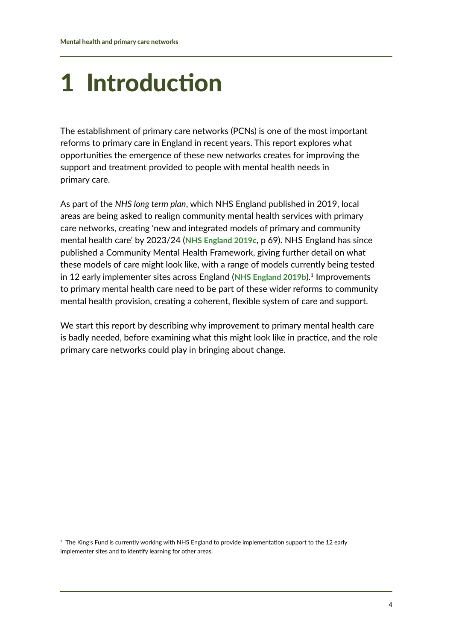# <span id="page-4-0"></span>1 Introduction

The establishment of primary care networks (PCNs) is one of the most important reforms to primary care in England in recent years. This report explores what opportunities the emergence of these new networks creates for improving the support and treatment provided to people with mental health needs in primary care.

As part of the *NHS long term plan*, which NHS England published in 2019, local areas are being asked to realign community mental health services with primary care networks, creating 'new and integrated models of primary and community mental health care' by 2023/24 (**[NHS England 2019c](http://www.longtermplan.nhs.uk/publication/nhs-long-term-plan)**, p 69). NHS England has since published a Community Mental Health Framework, giving further detail on what these models of care might look like, with a range of models currently being tested in 12 early implementer sites across England ([NHS England 2019b](http://www.england.nhs.uk/publication/the-community-mental-health-framework-for-adults-and-older-adults)).<sup>1</sup> Improvements to primary mental health care need to be part of these wider reforms to community mental health provision, creating a coherent, flexible system of care and support.

We start this report by describing why improvement to primary mental health care is badly needed, before examining what this might look like in practice, and the role primary care networks could play in bringing about change.

<sup>1</sup> The King's Fund is currently working with NHS England to provide implementation support to the 12 early implementer sites and to identify learning for other areas.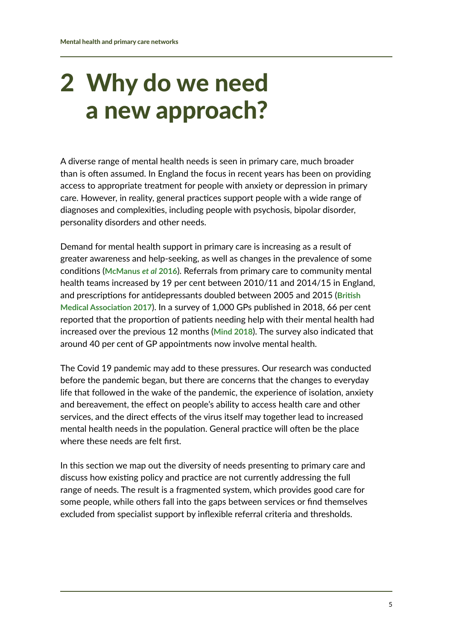# <span id="page-5-0"></span>2 Why do we need a new approach?

A diverse range of mental health needs is seen in primary care, much broader than is often assumed. In England the focus in recent years has been on providing access to appropriate treatment for people with anxiety or depression in primary care. However, in reality, general practices support people with a wide range of diagnoses and complexities, including people with psychosis, bipolar disorder, personality disorders and other needs.

Demand for mental health support in primary care is increasing as a result of greater awareness and help-seeking, as well as changes in the prevalence of some conditions (**[McManus](https://digital.nhs.uk/data-and-information/publications/statistical/adult-psychiatric-morbidity-survey/adult-psychiatric-morbidity-survey-survey-of-mental-health-and-wellbeing-england-2014)** *et al* **2016**). Referrals from primary care to community mental health teams increased by 19 per cent between 2010/11 and 2014/15 in England, and prescriptions for antidepressants doubled between 2005 and 2015 (**[British](http://www.bma.org.uk/collective-voice/policy-and-research/public-and-population-health/mental-health/improving-mental-health-outcomes)  [Medical Association 2017](http://www.bma.org.uk/collective-voice/policy-and-research/public-and-population-health/mental-health/improving-mental-health-outcomes)**). In a survey of 1,000 GPs published in 2018, 66 per cent reported that the proportion of patients needing help with their mental health had increased over the previous 12 months (**[Mind 2018](http://www.mind.org.uk/news-campaigns/news/40-per-cent-of-all-gp-appointments-about-mental-health)**). The survey also indicated that around 40 per cent of GP appointments now involve mental health.

The Covid 19 pandemic may add to these pressures. Our research was conducted before the pandemic began, but there are concerns that the changes to everyday life that followed in the wake of the pandemic, the experience of isolation, anxiety and bereavement, the effect on people's ability to access health care and other services, and the direct effects of the virus itself may together lead to increased mental health needs in the population. General practice will often be the place where these needs are felt first.

In this section we map out the diversity of needs presenting to primary care and discuss how existing policy and practice are not currently addressing the full range of needs. The result is a fragmented system, which provides good care for some people, while others fall into the gaps between services or find themselves excluded from specialist support by inflexible referral criteria and thresholds.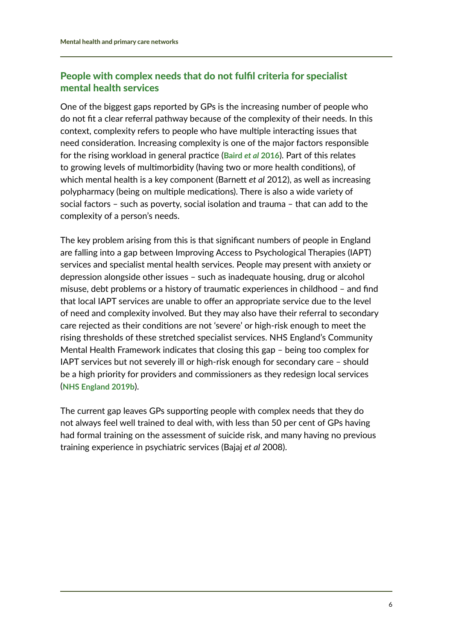# People with complex needs that do not fulfil criteria for specialist mental health services

One of the biggest gaps reported by GPs is the increasing number of people who do not fit a clear referral pathway because of the complexity of their needs. In this context, complexity refers to people who have multiple interacting issues that need consideration. Increasing complexity is one of the major factors responsible for the rising workload in general practice (**[Baird](http://www.kingsfund.org.uk/publications/pressures-in-general-practice)** *et al* **2016**). Part of this relates to growing levels of multimorbidity (having two or more health conditions), of which mental health is a key component (Barnett *et al* 2012), as well as increasing polypharmacy (being on multiple medications). There is also a wide variety of social factors – such as poverty, social isolation and trauma – that can add to the complexity of a person's needs.

The key problem arising from this is that significant numbers of people in England are falling into a gap between Improving Access to Psychological Therapies (IAPT) services and specialist mental health services. People may present with anxiety or depression alongside other issues – such as inadequate housing, drug or alcohol misuse, debt problems or a history of traumatic experiences in childhood – and find that local IAPT services are unable to offer an appropriate service due to the level of need and complexity involved. But they may also have their referral to secondary care rejected as their conditions are not 'severe' or high-risk enough to meet the rising thresholds of these stretched specialist services. NHS England's Community Mental Health Framework indicates that closing this gap – being too complex for IAPT services but not severely ill or high-risk enough for secondary care – should be a high priority for providers and commissioners as they redesign local services (**[NHS England 2019b](http://www.england.nhs.uk/publication/the-community-mental-health-framework-for-adults-and-older-adults)**).

The current gap leaves GPs supporting people with complex needs that they do not always feel well trained to deal with, with less than 50 per cent of GPs having had formal training on the assessment of suicide risk, and many having no previous training experience in psychiatric services (Bajaj *et al* 2008).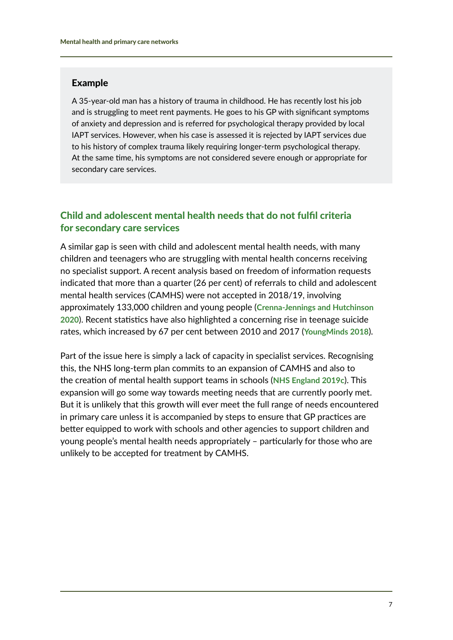#### Example

A 35-year-old man has a history of trauma in childhood. He has recently lost his job and is struggling to meet rent payments. He goes to his GP with significant symptoms of anxiety and depression and is referred for psychological therapy provided by local IAPT services. However, when his case is assessed it is rejected by IAPT services due to his history of complex trauma likely requiring longer-term psychological therapy. At the same time, his symptoms are not considered severe enough or appropriate for secondary care services.

### Child and adolescent mental health needs that do not fulfil criteria for secondary care services

A similar gap is seen with child and adolescent mental health needs, with many children and teenagers who are struggling with mental health concerns receiving no specialist support. A recent analysis based on freedom of information requests indicated that more than a quarter (26 per cent) of referrals to child and adolescent mental health services (CAMHS) were not accepted in 2018/19, involving approximately 133,000 children and young people (**[Crenna-Jennings and Hutchinson](https://epi.org.uk/publications-and-research/access-to-child-and-adolescent-mental-health-services-in-2019)  [2020](https://epi.org.uk/publications-and-research/access-to-child-and-adolescent-mental-health-services-in-2019)**). Recent statistics have also highlighted a concerning rise in teenage suicide rates, which increased by 67 per cent between 2010 and 2017 (**[YoungMinds 2018](https://youngminds.org.uk/blog/worrying-rise-in-teen-suicides)**).

Part of the issue here is simply a lack of capacity in specialist services. Recognising this, the NHS long-term plan commits to an expansion of CAMHS and also to the creation of mental health support teams in schools (**[NHS England 2019c](http://www.longtermplan.nhs.uk/publication/nhs-long-term-plan)**). This expansion will go some way towards meeting needs that are currently poorly met. But it is unlikely that this growth will ever meet the full range of needs encountered in primary care unless it is accompanied by steps to ensure that GP practices are better equipped to work with schools and other agencies to support children and young people's mental health needs appropriately – particularly for those who are unlikely to be accepted for treatment by CAMHS.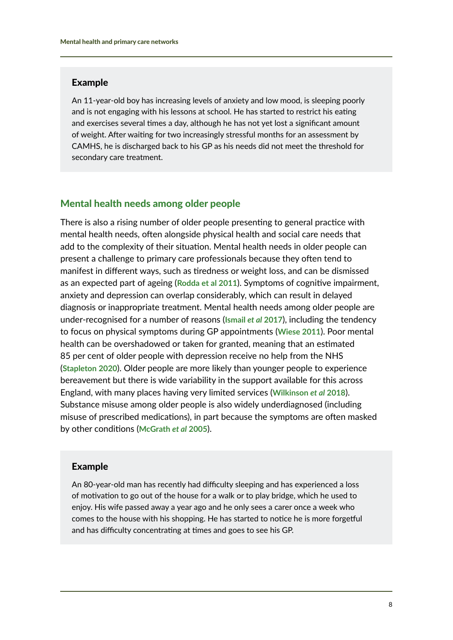#### Example

An 11-year-old boy has increasing levels of anxiety and low mood, is sleeping poorly and is not engaging with his lessons at school. He has started to restrict his eating and exercises several times a day, although he has not yet lost a significant amount of weight. After waiting for two increasingly stressful months for an assessment by CAMHS, he is discharged back to his GP as his needs did not meet the threshold for secondary care treatment.

#### Mental health needs among older people

There is also a rising number of older people presenting to general practice with mental health needs, often alongside physical health and social care needs that add to the complexity of their situation. Mental health needs in older people can present a challenge to primary care professionals because they often tend to manifest in different ways, such as tiredness or weight loss, and can be dismissed as an expected part of ageing (**[Rodda et al 2011](http://www.bmj.com/content/343/bmj.d5219)**). Symptoms of cognitive impairment, anxiety and depression can overlap considerably, which can result in delayed diagnosis or inappropriate treatment. Mental health needs among older people are under-recognised for a number of reasons (**[Ismail](https://doi.org/10.1001/jamapsychiatry.2016.3162)** *et al* **2017**), including the tendency to focus on physical symptoms during GP appointments (**[Wiese 2011](http://www.bcmj.org/articles/geriatric-depression-use-antidepressants-elderly)**). Poor mental health can be overshadowed or taken for granted, meaning that an estimated 85 per cent of older people with depression receive no help from the NHS (**[Stapleton 2020](http://www.centreformentalhealth.org.uk/blog/commission-equality/not-just-getting-older-mental-health-later-life)**). Older people are more likely than younger people to experience bereavement but there is wide variability in the support available for this across England, with many places having very limited services (**[Wilkinson](http://www.bmj.com/content/363/bmj.k4922)** *et al* **2018**). Substance misuse among older people is also widely underdiagnosed (including misuse of prescribed medications), in part because the symptoms are often masked by other conditions (**[McGrath](https://pmj.bmj.com/content/81/954/228)** *et al* **2005**).

#### Example

An 80-year-old man has recently had difficulty sleeping and has experienced a loss of motivation to go out of the house for a walk or to play bridge, which he used to enjoy. His wife passed away a year ago and he only sees a carer once a week who comes to the house with his shopping. He has started to notice he is more forgetful and has difficulty concentrating at times and goes to see his GP.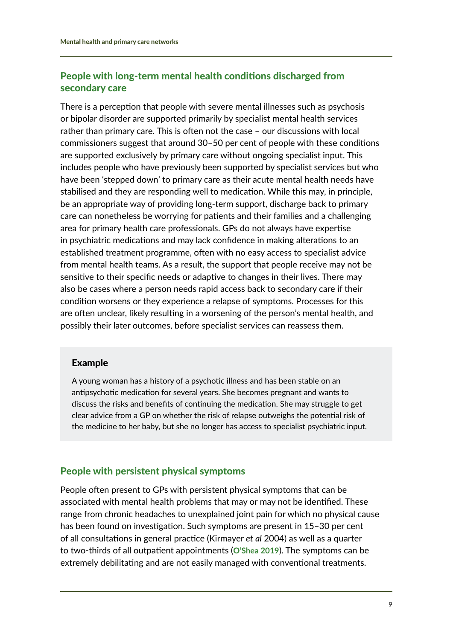# People with long-term mental health conditions discharged from secondary care

There is a perception that people with severe mental illnesses such as psychosis or bipolar disorder are supported primarily by specialist mental health services rather than primary care. This is often not the case – our discussions with local commissioners suggest that around 30–50 per cent of people with these conditions are supported exclusively by primary care without ongoing specialist input. This includes people who have previously been supported by specialist services but who have been 'stepped down' to primary care as their acute mental health needs have stabilised and they are responding well to medication. While this may, in principle, be an appropriate way of providing long-term support, discharge back to primary care can nonetheless be worrying for patients and their families and a challenging area for primary health care professionals. GPs do not always have expertise in psychiatric medications and may lack confidence in making alterations to an established treatment programme, often with no easy access to specialist advice from mental health teams. As a result, the support that people receive may not be sensitive to their specific needs or adaptive to changes in their lives. There may also be cases where a person needs rapid access back to secondary care if their condition worsens or they experience a relapse of symptoms. Processes for this are often unclear, likely resulting in a worsening of the person's mental health, and possibly their later outcomes, before specialist services can reassess them.

### Example

A young woman has a history of a psychotic illness and has been stable on an antipsychotic medication for several years. She becomes pregnant and wants to discuss the risks and benefits of continuing the medication. She may struggle to get clear advice from a GP on whether the risk of relapse outweighs the potential risk of the medicine to her baby, but she no longer has access to specialist psychiatric input.

# People with persistent physical symptoms

People often present to GPs with persistent physical symptoms that can be associated with mental health problems that may or may not be identified. These range from chronic headaches to unexplained joint pain for which no physical cause has been found on investigation. Such symptoms are present in 15–30 per cent of all consultations in general practice (Kirmayer *et al* 2004) as well as a quarter to two-thirds of all outpatient appointments (**[O'Shea 2019](http://www.centreformentalhealth.org.uk/new-approach-complex-needs)**). The symptoms can be extremely debilitating and are not easily managed with conventional treatments.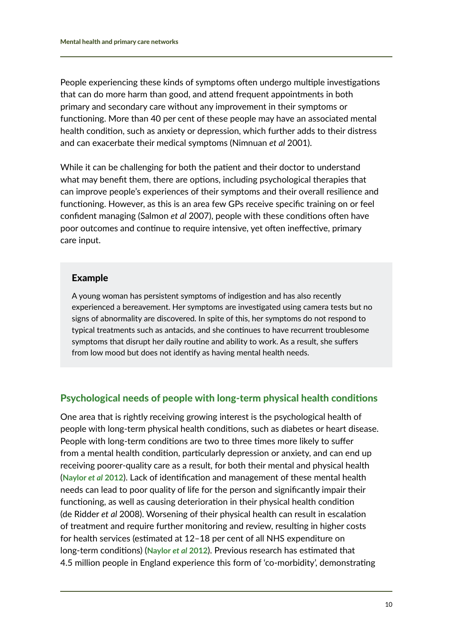People experiencing these kinds of symptoms often undergo multiple investigations that can do more harm than good, and attend frequent appointments in both primary and secondary care without any improvement in their symptoms or functioning. More than 40 per cent of these people may have an associated mental health condition, such as anxiety or depression, which further adds to their distress and can exacerbate their medical symptoms (Nimnuan *et al* 2001).

While it can be challenging for both the patient and their doctor to understand what may benefit them, there are options, including psychological therapies that can improve people's experiences of their symptoms and their overall resilience and functioning. However, as this is an area few GPs receive specific training on or feel confident managing (Salmon *et al* 2007), people with these conditions often have poor outcomes and continue to require intensive, yet often ineffective, primary care input.

#### Example

A young woman has persistent symptoms of indigestion and has also recently experienced a bereavement. Her symptoms are investigated using camera tests but no signs of abnormality are discovered. In spite of this, her symptoms do not respond to typical treatments such as antacids, and she continues to have recurrent troublesome symptoms that disrupt her daily routine and ability to work. As a result, she suffers from low mood but does not identify as having mental health needs.

### Psychological needs of people with long-term physical health conditions

One area that is rightly receiving growing interest is the psychological health of people with long-term physical health conditions, such as diabetes or heart disease. People with long-term conditions are two to three times more likely to suffer from a mental health condition, particularly depression or anxiety, and can end up receiving poorer-quality care as a result, for both their mental and physical health (**[Naylor](http://www.kingsfund.org.uk/publications/long-term-conditions-and-mental-health)** *et al* **2012**). Lack of identification and management of these mental health needs can lead to poor quality of life for the person and significantly impair their functioning, as well as causing deterioration in their physical health condition (de Ridder *et al* 2008). Worsening of their physical health can result in escalation of treatment and require further monitoring and review, resulting in higher costs for health services (estimated at 12–18 per cent of all NHS expenditure on long-term conditions) (**[Naylor](http://www.kingsfund.org.uk/publications/long-term-conditions-and-mental-health)** *et al* **2012**). Previous research has estimated that 4.5 million people in England experience this form of 'co-morbidity', demonstrating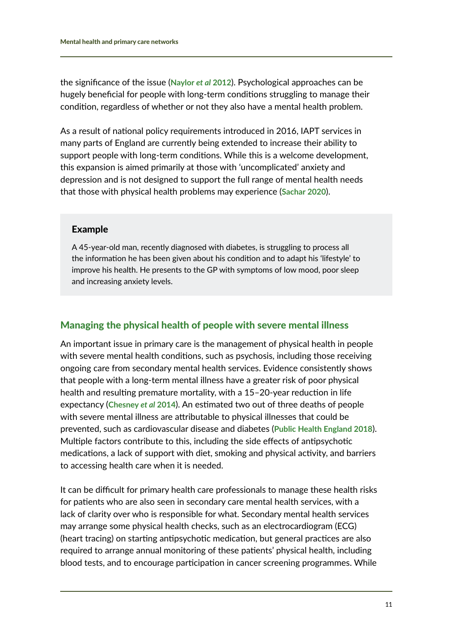the significance of the issue (**[Naylor](http://www.kingsfund.org.uk/publications/long-term-conditions-and-mental-health)** *et al* **2012**). Psychological approaches can be hugely beneficial for people with long-term conditions struggling to manage their condition, regardless of whether or not they also have a mental health problem.

As a result of national policy requirements introduced in 2016, IAPT services in many parts of England are currently being extended to increase their ability to support people with long-term conditions. While this is a welcome development, this expansion is aimed primarily at those with 'uncomplicated' anxiety and depression and is not designed to support the full range of mental health needs that those with physical health problems may experience (**[Sachar 2020](https://doi.org/10.3399/bjgp20X707261)**).

#### Example

A 45-year-old man, recently diagnosed with diabetes, is struggling to process all the information he has been given about his condition and to adapt his 'lifestyle' to improve his health. He presents to the GP with symptoms of low mood, poor sleep and increasing anxiety levels.

# Managing the physical health of people with severe mental illness

An important issue in primary care is the management of physical health in people with severe mental health conditions, such as psychosis, including those receiving ongoing care from secondary mental health services. Evidence consistently shows that people with a long-term mental illness have a greater risk of poor physical health and resulting premature mortality, with a 15–20-year reduction in life expectancy (**[Chesney](https://onlinelibrary.wiley.com/doi/full/10.1002/wps.20128)** *et al* **2014**). An estimated two out of three deaths of people with severe mental illness are attributable to physical illnesses that could be prevented, such as cardiovascular disease and diabetes (**[Public Health England 2018](http://www.gov.uk/government/publications/severe-mental-illness-smi-physical-health-inequalities/severe-mental-illness-and-physical-health-inequalities-briefing)**). Multiple factors contribute to this, including the side effects of antipsychotic medications, a lack of support with diet, smoking and physical activity, and barriers to accessing health care when it is needed.

It can be difficult for primary health care professionals to manage these health risks for patients who are also seen in secondary care mental health services, with a lack of clarity over who is responsible for what. Secondary mental health services may arrange some physical health checks, such as an electrocardiogram (ECG) (heart tracing) on starting antipsychotic medication, but general practices are also required to arrange annual monitoring of these patients' physical health, including blood tests, and to encourage participation in cancer screening programmes. While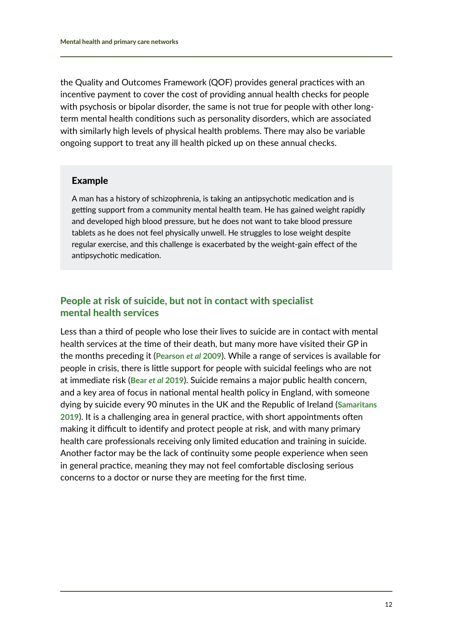the Quality and Outcomes Framework (QOF) provides general practices with an incentive payment to cover the cost of providing annual health checks for people with psychosis or bipolar disorder, the same is not true for people with other longterm mental health conditions such as personality disorders, which are associated with similarly high levels of physical health problems. There may also be variable ongoing support to treat any ill health picked up on these annual checks.

#### Example

A man has a history of schizophrenia, is taking an antipsychotic medication and is getting support from a community mental health team. He has gained weight rapidly and developed high blood pressure, but he does not want to take blood pressure tablets as he does not feel physically unwell. He struggles to lose weight despite regular exercise, and this challenge is exacerbated by the weight-gain effect of the antipsychotic medication.

#### People at risk of suicide, but not in contact with specialist mental health services

Less than a third of people who lose their lives to suicide are in contact with mental health services at the time of their death, but many more have visited their GP in the months preceding it (**[Pearson](http://www.ncbi.nlm.nih.gov/pmc/articles/PMC2765834)** *et al* **2009**). While a range of services is available for people in crisis, there is little support for people with suicidal feelings who are not at immediate risk (**Bear** *et al* **[2019](http://www.centreformentalhealth.org.uk/strengthening-frontline)**). Suicide remains a major public health concern, and a key area of focus in national mental health policy in England, with someone dying by suicide every 90 minutes in the UK and the Republic of Ireland (**[Samaritans](http://www.samaritans.org/about-samaritans/our-organisation/annual-reports-and-accounts)  [2019](http://www.samaritans.org/about-samaritans/our-organisation/annual-reports-and-accounts)**). It is a challenging area in general practice, with short appointments often making it difficult to identify and protect people at risk, and with many primary health care professionals receiving only limited education and training in suicide. Another factor may be the lack of continuity some people experience when seen in general practice, meaning they may not feel comfortable disclosing serious concerns to a doctor or nurse they are meeting for the first time.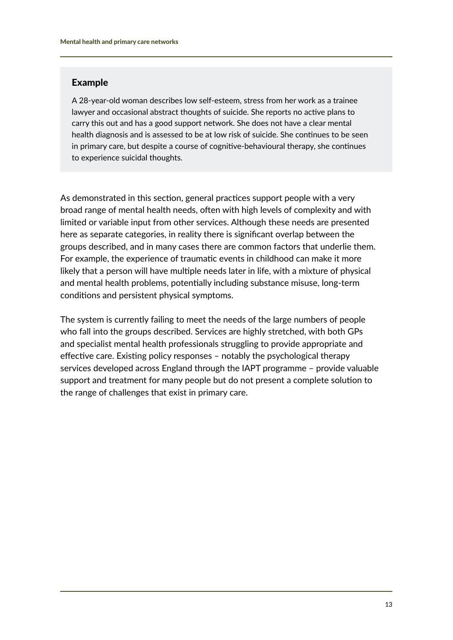#### Example

A 28-year-old woman describes low self-esteem, stress from her work as a trainee lawyer and occasional abstract thoughts of suicide. She reports no active plans to carry this out and has a good support network. She does not have a clear mental health diagnosis and is assessed to be at low risk of suicide. She continues to be seen in primary care, but despite a course of cognitive-behavioural therapy, she continues to experience suicidal thoughts.

As demonstrated in this section, general practices support people with a very broad range of mental health needs, often with high levels of complexity and with limited or variable input from other services. Although these needs are presented here as separate categories, in reality there is significant overlap between the groups described, and in many cases there are common factors that underlie them. For example, the experience of traumatic events in childhood can make it more likely that a person will have multiple needs later in life, with a mixture of physical and mental health problems, potentially including substance misuse, long-term conditions and persistent physical symptoms.

The system is currently failing to meet the needs of the large numbers of people who fall into the groups described. Services are highly stretched, with both GPs and specialist mental health professionals struggling to provide appropriate and effective care. Existing policy responses – notably the psychological therapy services developed across England through the IAPT programme – provide valuable support and treatment for many people but do not present a complete solution to the range of challenges that exist in primary care.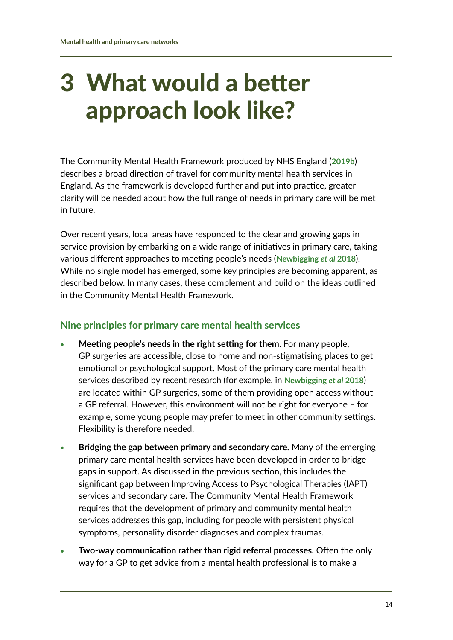# <span id="page-14-0"></span>3 What would a better approach look like?

The Community Mental Health Framework produced by NHS England (**[2019b](http://www.england.nhs.uk/publication/the-community-mental-health-framework-for-adults-and-older-adults)**) describes a broad direction of travel for community mental health services in England. As the framework is developed further and put into practice, greater clarity will be needed about how the full range of needs in primary care will be met in future.

Over recent years, local areas have responded to the clear and growing gaps in service provision by embarking on a wide range of initiatives in primary care, taking various different approaches to meeting people's needs (**[Newbigging](http://www.centreformentalhealth.org.uk/filling-chasm)** *et al* **2018**). While no single model has emerged, some key principles are becoming apparent, as described below. In many cases, these complement and build on the ideas outlined in the Community Mental Health Framework.

### Nine principles for primary care mental health services

- **• Meeting people's needs in the right setting for them.** For many people, GP surgeries are accessible, close to home and non-stigmatising places to get emotional or psychological support. Most of the primary care mental health services described by recent research (for example, in **[Newbigging](http://www.centreformentalhealth.org.uk/filling-chasm)** *et al* **2018**) are located within GP surgeries, some of them providing open access without a GP referral. However, this environment will not be right for everyone – for example, some young people may prefer to meet in other community settings. Flexibility is therefore needed.
- **• Bridging the gap between primary and secondary care.** Many of the emerging primary care mental health services have been developed in order to bridge gaps in support. As discussed in the previous section, this includes the significant gap between Improving Access to Psychological Therapies (IAPT) services and secondary care. The Community Mental Health Framework requires that the development of primary and community mental health services addresses this gap, including for people with persistent physical symptoms, personality disorder diagnoses and complex traumas.
- **• Two-way communication rather than rigid referral processes.** Often the only way for a GP to get advice from a mental health professional is to make a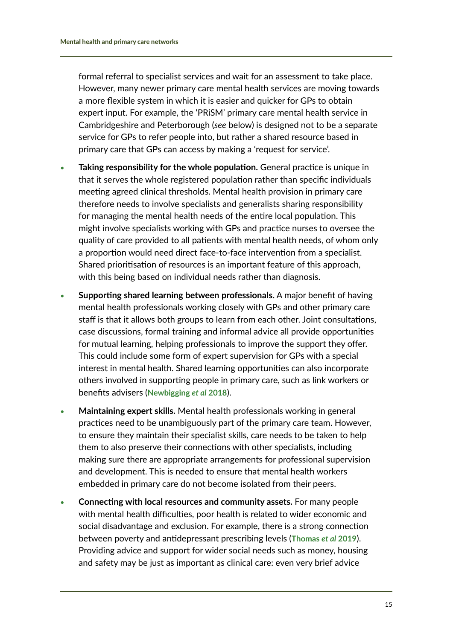formal referral to specialist services and wait for an assessment to take place. However, many newer primary care mental health services are moving towards a more flexible system in which it is easier and quicker for GPs to obtain expert input. For example, the 'PRiSM' primary care mental health service in Cambridgeshire and Peterborough (*see* below) is designed not to be a separate service for GPs to refer people into, but rather a shared resource based in primary care that GPs can access by making a 'request for service'.

- **• Taking responsibility for the whole population.** General practice is unique in that it serves the whole registered population rather than specific individuals meeting agreed clinical thresholds. Mental health provision in primary care therefore needs to involve specialists and generalists sharing responsibility for managing the mental health needs of the entire local population. This might involve specialists working with GPs and practice nurses to oversee the quality of care provided to all patients with mental health needs, of whom only a proportion would need direct face-to-face intervention from a specialist. Shared prioritisation of resources is an important feature of this approach, with this being based on individual needs rather than diagnosis.
- **• Supporting shared learning between professionals.** A major benefit of having mental health professionals working closely with GPs and other primary care staff is that it allows both groups to learn from each other. Joint consultations, case discussions, formal training and informal advice all provide opportunities for mutual learning, helping professionals to improve the support they offer. This could include some form of expert supervision for GPs with a special interest in mental health. Shared learning opportunities can also incorporate others involved in supporting people in primary care, such as link workers or benefits advisers (**[Newbigging](http://www.centreformentalhealth.org.uk/filling-chasm)** *et al* **2018**).
- **• Maintaining expert skills.** Mental health professionals working in general practices need to be unambiguously part of the primary care team. However, to ensure they maintain their specialist skills, care needs to be taken to help them to also preserve their connections with other specialists, including making sure there are appropriate arrangements for professional supervision and development. This is needed to ensure that mental health workers embedded in primary care do not become isolated from their peers.
- **• Connecting with local resources and community assets.** For many people with mental health difficulties, poor health is related to wider economic and social disadvantage and exclusion. For example, there is a strong connection between poverty and antidepressant prescribing levels (**[Thomas](http://destressproject.org.uk)** *et al* **2019**). Providing advice and support for wider social needs such as money, housing and safety may be just as important as clinical care: even very brief advice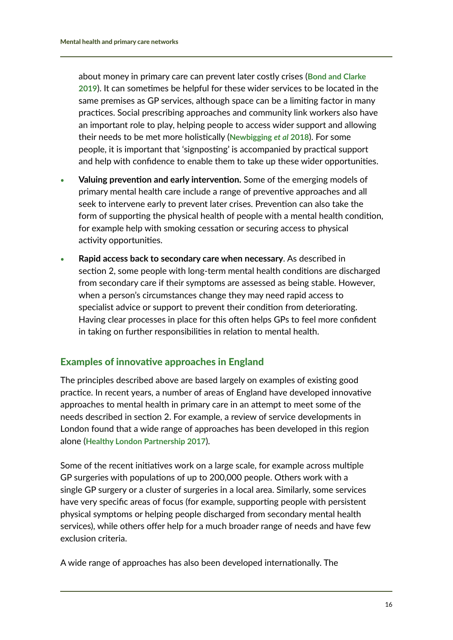about money in primary care can prevent later costly crises (**[Bond and Clarke](http://www.moneyandmentalhealth.org/prevention)  [2019](http://www.moneyandmentalhealth.org/prevention)**). It can sometimes be helpful for these wider services to be located in the same premises as GP services, although space can be a limiting factor in many practices. Social prescribing approaches and community link workers also have an important role to play, helping people to access wider support and allowing their needs to be met more holistically (**[Newbigging](http://www.centreformentalhealth.org.uk/filling-chasm)** *et al* **2018**). For some people, it is important that 'signposting' is accompanied by practical support and help with confidence to enable them to take up these wider opportunities.

- **• Valuing prevention and early intervention.** Some of the emerging models of primary mental health care include a range of preventive approaches and all seek to intervene early to prevent later crises. Prevention can also take the form of supporting the physical health of people with a mental health condition, for example help with smoking cessation or securing access to physical activity opportunities.
- **• Rapid access back to secondary care when necessary**. As described in section 2, some people with long-term mental health conditions are discharged from secondary care if their symptoms are assessed as being stable. However, when a person's circumstances change they may need rapid access to specialist advice or support to prevent their condition from deteriorating. Having clear processes in place for this often helps GPs to feel more confident in taking on further responsibilities in relation to mental health.

# Examples of innovative approaches in England

The principles described above are based largely on examples of existing good practice. In recent years, a number of areas of England have developed innovative approaches to mental health in primary care in an attempt to meet some of the needs described in section 2. For example, a review of service developments in London found that a wide range of approaches has been developed in this region alone (**[Healthy London Partnership 2017](http://www.healthylondon.org/resource/primary-care-mental-health-services-literature-review-scoping-report/)**).

Some of the recent initiatives work on a large scale, for example across multiple GP surgeries with populations of up to 200,000 people. Others work with a single GP surgery or a cluster of surgeries in a local area. Similarly, some services have very specific areas of focus (for example, supporting people with persistent physical symptoms or helping people discharged from secondary mental health services), while others offer help for a much broader range of needs and have few exclusion criteria.

A wide range of approaches has also been developed internationally. The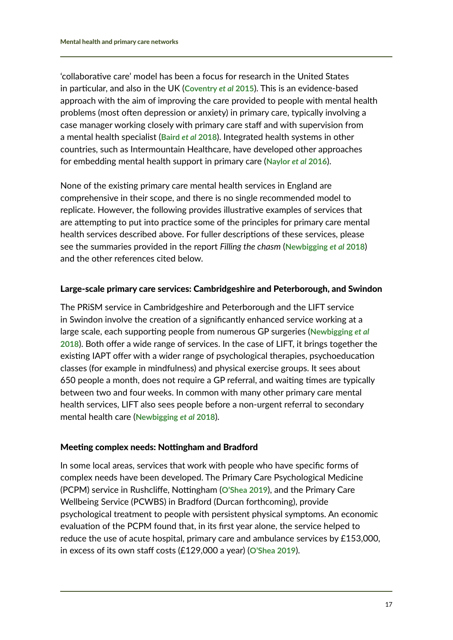'collaborative care' model has been a focus for research in the United States in particular, and also in the UK (**[Coventry](http://www.ncbi.nlm.nih.gov/pubmed/25687344)** *et al* **2015**). This is an evidence-based approach with the aim of improving the care provided to people with mental health problems (most often depression or anxiety) in primary care, typically involving a case manager working closely with primary care staff and with supervision from a mental health specialist (**[Baird](http://www.kingsfund.org.uk/publications/innovative-models-general-practice)** *et al* **2018**). Integrated health systems in other countries, such as Intermountain Healthcare, have developed other approaches for embedding mental health support in primary care (**[Naylor](http://www.kingsfund.org.uk/publications/physical-and-mental-health)** *et al* **2016**).

None of the existing primary care mental health services in England are comprehensive in their scope, and there is no single recommended model to replicate. However, the following provides illustrative examples of services that are attempting to put into practice some of the principles for primary care mental health services described above. For fuller descriptions of these services, please see the summaries provided in the report *Filling the chasm* (**[Newbigging](http://www.centreformentalhealth.org.uk/filling-chasm)** *et al* **2018**) and the other references cited below.

#### Large-scale primary care services: Cambridgeshire and Peterborough, and Swindon

The PRiSM service in Cambridgeshire and Peterborough and the LIFT service in Swindon involve the creation of a significantly enhanced service working at a large scale, each supporting people from numerous GP surgeries (**[Newbigging](http://www.centreformentalhealth.org.uk/filling-chasm)** *et al* **[2018](http://www.centreformentalhealth.org.uk/filling-chasm)**). Both offer a wide range of services. In the case of LIFT, it brings together the existing IAPT offer with a wider range of psychological therapies, psychoeducation classes (for example in mindfulness) and physical exercise groups. It sees about 650 people a month, does not require a GP referral, and waiting times are typically between two and four weeks. In common with many other primary care mental health services, LIFT also sees people before a non-urgent referral to secondary mental health care (**[Newbigging](http://www.centreformentalhealth.org.uk/filling-chasm)** *et al* **2018**).

#### Meeting complex needs: Nottingham and Bradford

In some local areas, services that work with people who have specific forms of complex needs have been developed. The Primary Care Psychological Medicine (PCPM) service in Rushcliffe, Nottingham (**[O'Shea 2019](http://www.centreformentalhealth.org.uk/new-approach-complex-needs)**), and the Primary Care Wellbeing Service (PCWBS) in Bradford (Durcan forthcoming), provide psychological treatment to people with persistent physical symptoms. An economic evaluation of the PCPM found that, in its first year alone, the service helped to reduce the use of acute hospital, primary care and ambulance services by £153,000, in excess of its own staff costs (£129,000 a year) (**[O'Shea 2019](http://www.centreformentalhealth.org.uk/new-approach-complex-needs)**).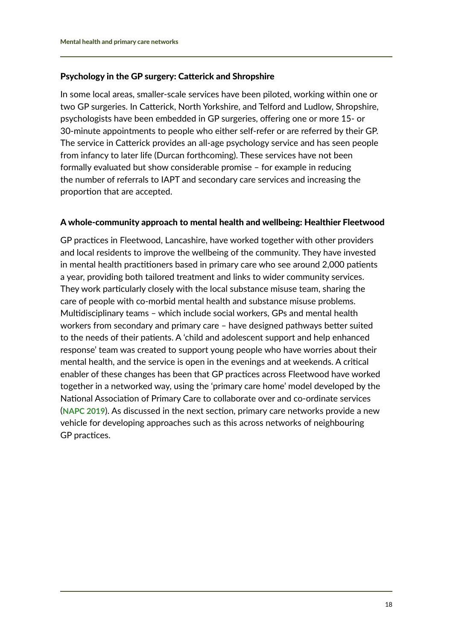#### Psychology in the GP surgery: Catterick and Shropshire

In some local areas, smaller-scale services have been piloted, working within one or two GP surgeries. In Catterick, North Yorkshire, and Telford and Ludlow, Shropshire, psychologists have been embedded in GP surgeries, offering one or more 15- or 30-minute appointments to people who either self-refer or are referred by their GP. The service in Catterick provides an all-age psychology service and has seen people from infancy to later life (Durcan forthcoming). These services have not been formally evaluated but show considerable promise – for example in reducing the number of referrals to IAPT and secondary care services and increasing the proportion that are accepted.

#### A whole-community approach to mental health and wellbeing: Healthier Fleetwood

GP practices in Fleetwood, Lancashire, have worked together with other providers and local residents to improve the wellbeing of the community. They have invested in mental health practitioners based in primary care who see around 2,000 patients a year, providing both tailored treatment and links to wider community services. They work particularly closely with the local substance misuse team, sharing the care of people with co-morbid mental health and substance misuse problems. Multidisciplinary teams – which include social workers, GPs and mental health workers from secondary and primary care – have designed pathways better suited to the needs of their patients. A 'child and adolescent support and help enhanced response' team was created to support young people who have worries about their mental health, and the service is open in the evenings and at weekends. A critical enabler of these changes has been that GP practices across Fleetwood have worked together in a networked way, using the 'primary care home' model developed by the National Association of Primary Care to collaborate over and co-ordinate services (**[NAPC 2019](https://napc.co.uk/primary-care-home)**). As discussed in the next section, primary care networks provide a new vehicle for developing approaches such as this across networks of neighbouring GP practices.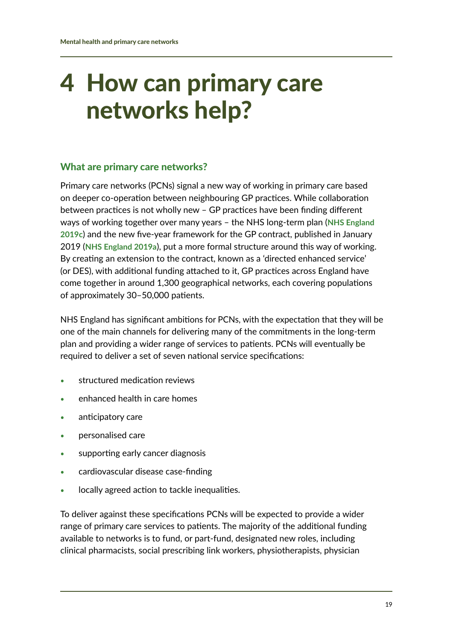# <span id="page-19-0"></span>4 How can primary care networks help?

### What are primary care networks?

Primary care networks (PCNs) signal a new way of working in primary care based on deeper co-operation between neighbouring GP practices. While collaboration between practices is not wholly new – GP practices have been finding different ways of working together over many years – the NHS long-term plan (**[NHS England](http://www.longtermplan.nhs.uk/publication/nhs-long-term-plan)  [2019c](http://www.longtermplan.nhs.uk/publication/nhs-long-term-plan)**) and the new five-year framework for the GP contract, published in January 2019 (**[NHS England 2019a](http://www.england.nhs.uk/publication/gp-contract-five-year-framework)**), put a more formal structure around this way of working. By creating an extension to the contract, known as a 'directed enhanced service' (or DES), with additional funding attached to it, GP practices across England have come together in around 1,300 geographical networks, each covering populations of approximately 30–50,000 patients.

NHS England has significant ambitions for PCNs, with the expectation that they will be one of the main channels for delivering many of the commitments in the long-term plan and providing a wider range of services to patients. PCNs will eventually be required to deliver a set of seven national service specifications:

- **•** structured medication reviews
- **•** enhanced health in care homes
- **•** anticipatory care
- **•** personalised care
- **•** supporting early cancer diagnosis
- **•** cardiovascular disease case-finding
- **•** locally agreed action to tackle inequalities.

To deliver against these specifications PCNs will be expected to provide a wider range of primary care services to patients. The majority of the additional funding available to networks is to fund, or part-fund, designated new roles, including clinical pharmacists, social prescribing link workers, physiotherapists, physician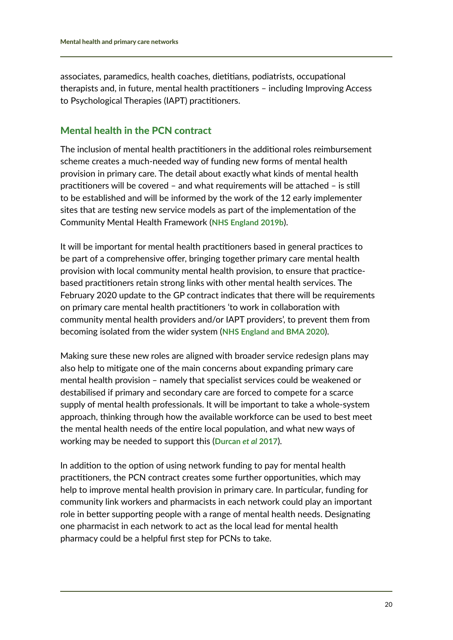associates, paramedics, health coaches, dietitians, podiatrists, occupational therapists and, in future, mental health practitioners – including Improving Access to Psychological Therapies (IAPT) practitioners.

### Mental health in the PCN contract

The inclusion of mental health practitioners in the additional roles reimbursement scheme creates a much-needed way of funding new forms of mental health provision in primary care. The detail about exactly what kinds of mental health practitioners will be covered – and what requirements will be attached – is still to be established and will be informed by the work of the 12 early implementer sites that are testing new service models as part of the implementation of the Community Mental Health Framework (**[NHS England 2019b](http://www.england.nhs.uk/publication/the-community-mental-health-framework-for-adults-and-older-adults)**).

It will be important for mental health practitioners based in general practices to be part of a comprehensive offer, bringing together primary care mental health provision with local community mental health provision, to ensure that practicebased practitioners retain strong links with other mental health services. The February 2020 update to the GP contract indicates that there will be requirements on primary care mental health practitioners 'to work in collaboration with community mental health providers and/or IAPT providers', to prevent them from becoming isolated from the wider system (**[NHS England and BMA 2020](http://www.england.nhs.uk/publication/investment-and-evolution-update-to-the-gp-contract-agreement-20-21-23-24/)**).

Making sure these new roles are aligned with broader service redesign plans may also help to mitigate one of the main concerns about expanding primary care mental health provision – namely that specialist services could be weakened or destabilised if primary and secondary care are forced to compete for a scarce supply of mental health professionals. It will be important to take a whole-system approach, thinking through how the available workforce can be used to best meet the mental health needs of the entire local population, and what new ways of working may be needed to support this (**[Durcan](http://www.centreformentalhealth.org.uk/publications/future-mental-health-workforce)** *et al* **2017**).

In addition to the option of using network funding to pay for mental health practitioners, the PCN contract creates some further opportunities, which may help to improve mental health provision in primary care. In particular, funding for community link workers and pharmacists in each network could play an important role in better supporting people with a range of mental health needs. Designating one pharmacist in each network to act as the local lead for mental health pharmacy could be a helpful first step for PCNs to take.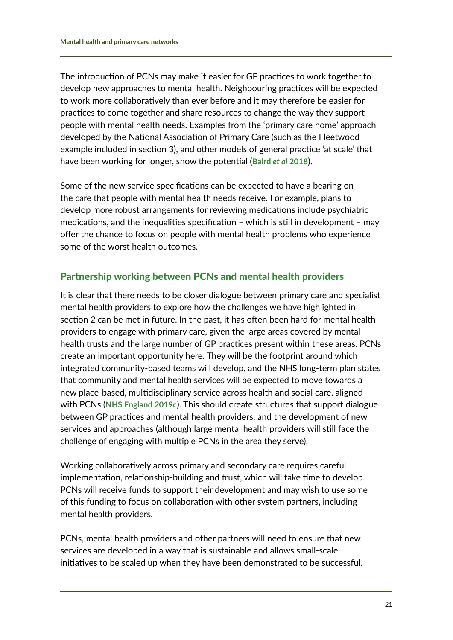The introduction of PCNs may make it easier for GP practices to work together to develop new approaches to mental health. Neighbouring practices will be expected to work more collaboratively than ever before and it may therefore be easier for practices to come together and share resources to change the way they support people with mental health needs. Examples from the 'primary care home' approach developed by the National Association of Primary Care (such as the Fleetwood example included in section 3), and other models of general practice 'at scale' that have been working for longer, show the potential (**Baird** *et al* **[2018](http://www.kingsfund.org.uk/publications/innovative-models-general-practice)**).

Some of the new service specifications can be expected to have a bearing on the care that people with mental health needs receive. For example, plans to develop more robust arrangements for reviewing medications include psychiatric medications, and the inequalities specification – which is still in development – may offer the chance to focus on people with mental health problems who experience some of the worst health outcomes.

### Partnership working between PCNs and mental health providers

It is clear that there needs to be closer dialogue between primary care and specialist mental health providers to explore how the challenges we have highlighted in section 2 can be met in future. In the past, it has often been hard for mental health providers to engage with primary care, given the large areas covered by mental health trusts and the large number of GP practices present within these areas. PCNs create an important opportunity here. They will be the footprint around which integrated community-based teams will develop, and the NHS long-term plan states that community and mental health services will be expected to move towards a new place-based, multidisciplinary service across health and social care, aligned with PCNs (**[NHS England 2019c](http://www.longtermplan.nhs.uk/publication/nhs-long-term-plan)**). This should create structures that support dialogue between GP practices and mental health providers, and the development of new services and approaches (although large mental health providers will still face the challenge of engaging with multiple PCNs in the area they serve).

Working collaboratively across primary and secondary care requires careful implementation, relationship-building and trust, which will take time to develop. PCNs will receive funds to support their development and may wish to use some of this funding to focus on collaboration with other system partners, including mental health providers.

PCNs, mental health providers and other partners will need to ensure that new services are developed in a way that is sustainable and allows small-scale initiatives to be scaled up when they have been demonstrated to be successful.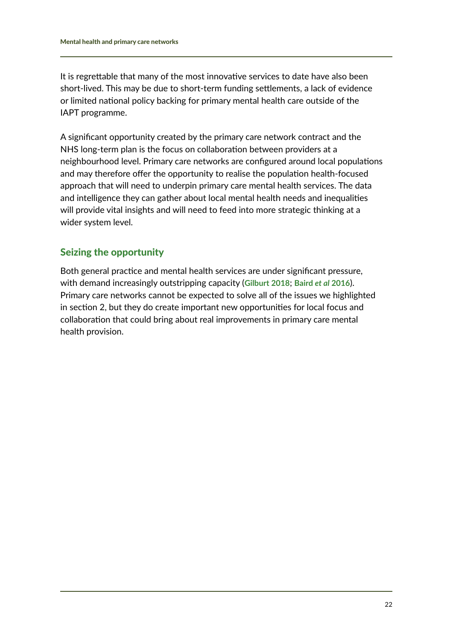It is regrettable that many of the most innovative services to date have also been short-lived. This may be due to short-term funding settlements, a lack of evidence or limited national policy backing for primary mental health care outside of the IAPT programme.

A significant opportunity created by the primary care network contract and the NHS long-term plan is the focus on collaboration between providers at a neighbourhood level. Primary care networks are configured around local populations and may therefore offer the opportunity to realise the population health-focused approach that will need to underpin primary care mental health services. The data and intelligence they can gather about local mental health needs and inequalities will provide vital insights and will need to feed into more strategic thinking at a wider system level.

### Seizing the opportunity

Both general practice and mental health services are under significant pressure, with demand increasingly outstripping capacity (**[Gilburt 2018](http://www.kingsfund.org.uk/publications/funding-staffing-mental-health-providers)**; **[Baird](http://www.kingsfund.org.uk/publications/pressures-in-general-practice)** *et al* **2016**). Primary care networks cannot be expected to solve all of the issues we highlighted in section 2, but they do create important new opportunities for local focus and collaboration that could bring about real improvements in primary care mental health provision.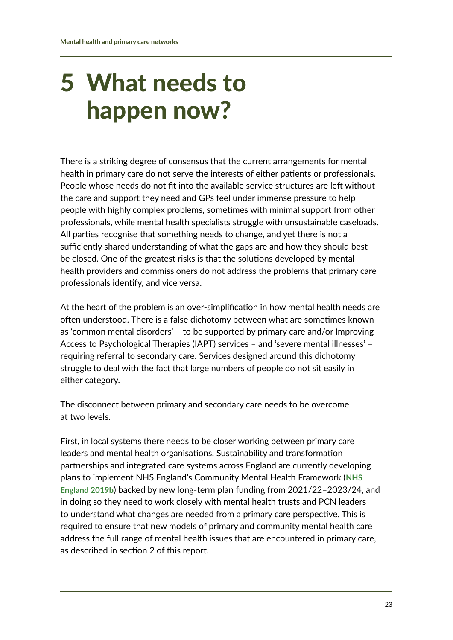# <span id="page-23-0"></span>5 What needs to happen now?

There is a striking degree of consensus that the current arrangements for mental health in primary care do not serve the interests of either patients or professionals. People whose needs do not fit into the available service structures are left without the care and support they need and GPs feel under immense pressure to help people with highly complex problems, sometimes with minimal support from other professionals, while mental health specialists struggle with unsustainable caseloads. All parties recognise that something needs to change, and yet there is not a sufficiently shared understanding of what the gaps are and how they should best be closed. One of the greatest risks is that the solutions developed by mental health providers and commissioners do not address the problems that primary care professionals identify, and vice versa.

At the heart of the problem is an over-simplification in how mental health needs are often understood. There is a false dichotomy between what are sometimes known as 'common mental disorders' – to be supported by primary care and/or Improving Access to Psychological Therapies (IAPT) services – and 'severe mental illnesses' – requiring referral to secondary care. Services designed around this dichotomy struggle to deal with the fact that large numbers of people do not sit easily in either category.

The disconnect between primary and secondary care needs to be overcome at two levels.

First, in local systems there needs to be closer working between primary care leaders and mental health organisations. Sustainability and transformation partnerships and integrated care systems across England are currently developing plans to implement NHS England's Community Mental Health Framework (**[NHS](http://www.england.nhs.uk/publication/the-community-mental-health-framework-for-adults-and-older-adults)  [England 2019b](http://www.england.nhs.uk/publication/the-community-mental-health-framework-for-adults-and-older-adults)**) backed by new long-term plan funding from 2021/22–2023/24, and in doing so they need to work closely with mental health trusts and PCN leaders to understand what changes are needed from a primary care perspective. This is required to ensure that new models of primary and community mental health care address the full range of mental health issues that are encountered in primary care, as described in section 2 of this report.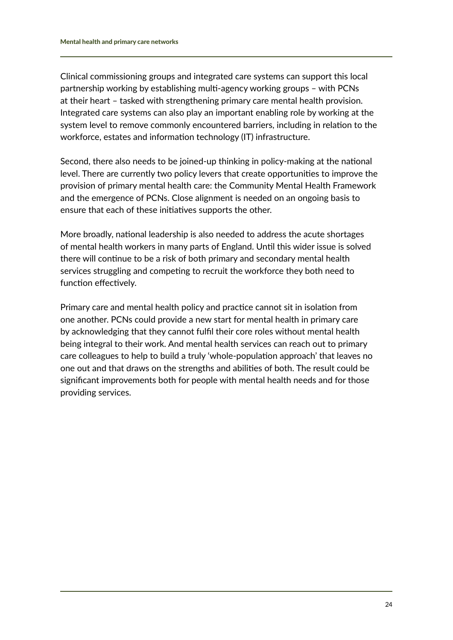Clinical commissioning groups and integrated care systems can support this local partnership working by establishing multi-agency working groups – with PCNs at their heart – tasked with strengthening primary care mental health provision. Integrated care systems can also play an important enabling role by working at the system level to remove commonly encountered barriers, including in relation to the workforce, estates and information technology (IT) infrastructure.

Second, there also needs to be joined-up thinking in policy-making at the national level. There are currently two policy levers that create opportunities to improve the provision of primary mental health care: the Community Mental Health Framework and the emergence of PCNs. Close alignment is needed on an ongoing basis to ensure that each of these initiatives supports the other.

More broadly, national leadership is also needed to address the acute shortages of mental health workers in many parts of England. Until this wider issue is solved there will continue to be a risk of both primary and secondary mental health services struggling and competing to recruit the workforce they both need to function effectively.

Primary care and mental health policy and practice cannot sit in isolation from one another. PCNs could provide a new start for mental health in primary care by acknowledging that they cannot fulfil their core roles without mental health being integral to their work. And mental health services can reach out to primary care colleagues to help to build a truly 'whole-population approach' that leaves no one out and that draws on the strengths and abilities of both. The result could be significant improvements both for people with mental health needs and for those providing services.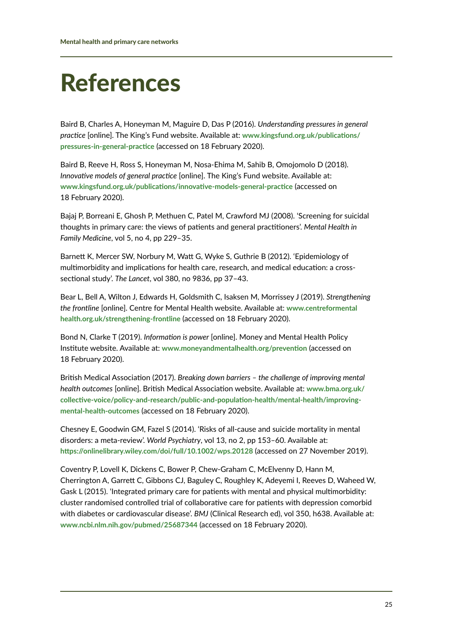# <span id="page-25-0"></span>References

Baird B, Charles A, Honeyman M, Maguire D, Das P (2016). *Understanding pressures in general practice* [online]. The King's Fund website. Available at: **[www.kingsfund.org.uk/publications/](http://www.kingsfund.org.uk/publications/pressures-in-general-practice) [pressures-in-general-practice](http://www.kingsfund.org.uk/publications/pressures-in-general-practice)** (accessed on 18 February 2020).

Baird B, Reeve H, Ross S, Honeyman M, Nosa-Ehima M, Sahib B, Omojomolo D (2018). *Innovative models of general practice* [online]. The King's Fund website. Available at: **[www.kingsfund.org.uk/publications/innovative-models-general-practice](http://www.kingsfund.org.uk/publications/innovative-models-general-practice)** (accessed on 18 February 2020).

Bajaj P, Borreani E, Ghosh P, Methuen C, Patel M, Crawford MJ (2008). 'Screening for suicidal thoughts in primary care: the views of patients and general practitioners'. *Mental Health in Family Medicine*, vol 5, no 4, pp 229–35.

Barnett K, Mercer SW, Norbury M, Watt G, Wyke S, Guthrie B (2012). 'Epidemiology of multimorbidity and implications for health care, research, and medical education: a crosssectional study'. *The Lancet*, vol 380, no 9836, pp 37–43.

Bear L, Bell A, Wilton J, Edwards H, Goldsmith C, Isaksen M, Morrissey J (2019). *Strengthening the frontline* [online]. Centre for Mental Health website. Available at: **[www.centreformental](http://www.centreformentalhealth.org.uk/strengthening-frontline) [health.org.uk/strengthening-frontline](http://www.centreformentalhealth.org.uk/strengthening-frontline)** (accessed on 18 February 2020).

Bond N, Clarke T (2019). *Information is power* [online]. Money and Mental Health Policy Institute website. Available at: **[www.moneyandmentalhealth.org/prevention](http://www.moneyandmentalhealth.org/prevention)** (accessed on 18 February 2020).

British Medical Association (2017). *Breaking down barriers – the challenge of improving mental health outcomes* [online]. British Medical Association website. Available at: **[www.bma.org.uk/](http://www.bma.org.uk/collective-voice/policy-and-research/public-and-population-health/mental-health/improving-mental-health-outcomes) [collective-voice/policy-and-research/public-and-population-health/mental-health/improving](http://www.bma.org.uk/collective-voice/policy-and-research/public-and-population-health/mental-health/improving-mental-health-outcomes)[mental-health-outcomes](http://www.bma.org.uk/collective-voice/policy-and-research/public-and-population-health/mental-health/improving-mental-health-outcomes)** (accessed on 18 February 2020).

Chesney E, Goodwin GM, Fazel S (2014). 'Risks of all-cause and suicide mortality in mental disorders: a meta-review'. *World Psychiatry*, vol 13, no 2, pp 153–60. Available at: **<https://onlinelibrary.wiley.com/doi/full/10.1002/wps.20128>** (accessed on 27 November 2019).

Coventry P, Lovell K, Dickens C, Bower P, Chew-Graham C, McElvenny D, Hann M, Cherrington A, Garrett C, Gibbons CJ, Baguley C, Roughley K, Adeyemi I, Reeves D, Waheed W, Gask L (2015). 'Integrated primary care for patients with mental and physical multimorbidity: cluster randomised controlled trial of collaborative care for patients with depression comorbid with diabetes or cardiovascular disease'. *BMJ* (Clinical Research ed), vol 350, h638. Available at: **[www.ncbi.nlm.nih.gov/pubmed/25687344](http://www.ncbi.nlm.nih.gov/pubmed/25687344)** (accessed on 18 February 2020).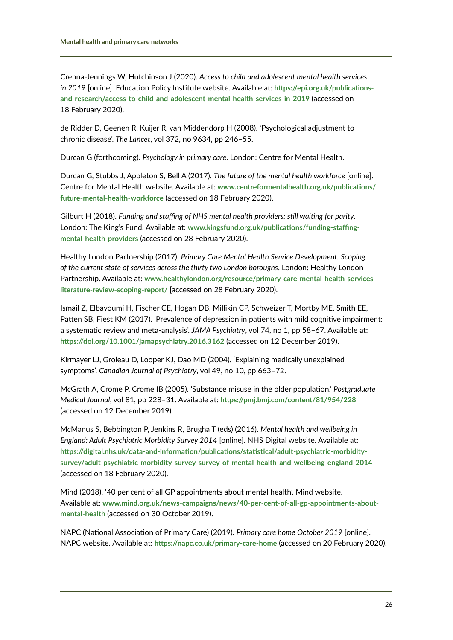Crenna-Jennings W, Hutchinson J (2020). *Access to child and adolescent mental health services in 2019* [online]. Education Policy Institute website. Available at: **[https://epi.org.uk/publications](https://epi.org.uk/publications-and-research/access-to-child-and-adolescent-mental-health-services-in-2019)[and-research/access-to-child-and-adolescent-mental-health-services-in-2019](https://epi.org.uk/publications-and-research/access-to-child-and-adolescent-mental-health-services-in-2019)** (accessed on 18 February 2020).

de Ridder D, Geenen R, Kuijer R, van Middendorp H (2008). 'Psychological adjustment to chronic disease'. *The Lancet*, vol 372, no 9634, pp 246–55.

Durcan G (forthcoming). *Psychology in primary care*. London: Centre for Mental Health.

Durcan G, Stubbs J, Appleton S, Bell A (2017). *The future of the mental health workforce* [online]. Centre for Mental Health website. Available at: **[www.centreformentalhealth.org.uk/publications/](http://www.centreformentalhealth.org.uk/publications/future-mental-health-workforce) [future-mental-health-workforce](http://www.centreformentalhealth.org.uk/publications/future-mental-health-workforce)** (accessed on 18 February 2020).

Gilburt H (2018). *Funding and staffing of NHS mental health providers: still waiting for parity*. London: The King's Fund. Available at: **[www.kingsfund.org.uk/publications/funding-staffing](http://www.kingsfund.org.uk/publications/funding-staffing-mental-health-providers)[mental-health-providers](http://www.kingsfund.org.uk/publications/funding-staffing-mental-health-providers)** (accessed on 28 February 2020).

Healthy London Partnership (2017). *Primary Care Mental Health Service Development. Scoping of the current state of services across the thirty two London boroughs*. London: Healthy London Partnership. Available at: **[www.healthylondon.org/resource/primary-care-mental-health-services](http://www.healthylondon.org/resource/primary-care-mental-health-services-literature-review-scoping-report/)[literature-review-scoping-report/](http://www.healthylondon.org/resource/primary-care-mental-health-services-literature-review-scoping-report/)** [accessed on 28 February 2020).

Ismail Z, Elbayoumi H, Fischer CE, Hogan DB, Millikin CP, Schweizer T, Mortby ME, Smith EE, Patten SB, Fiest KM (2017). 'Prevalence of depression in patients with mild cognitive impairment: a systematic review and meta-analysis'. *JAMA Psychiatry*, vol 74, no 1, pp 58–67. Available at: **<https://doi.org/10.1001/jamapsychiatry.2016.3162>** (accessed on 12 December 2019).

Kirmayer LJ, Groleau D, Looper KJ, Dao MD (2004). 'Explaining medically unexplained symptoms'. *Canadian Journal of Psychiatry*, vol 49, no 10, pp 663–72.

McGrath A, Crome P, Crome IB (2005). 'Substance misuse in the older population.' *Postgraduate Medical Journal*, vol 81, pp 228–31. Available at: **<https://pmj.bmj.com/content/81/954/228>** (accessed on 12 December 2019).

McManus S, Bebbington P, Jenkins R, Brugha T (eds) (2016). *Mental health and wellbeing in England: Adult Psychiatric Morbidity Survey 2014* [online]. NHS Digital website. Available at: **[https://digital.nhs.uk/data-and-information/publications/statistical/adult-psychiatric-morbidity](https://digital.nhs.uk/data-and-information/publications/statistical/adult-psychiatric-morbidity-survey/adult-psychiatric-morbidity-survey-survey-of-mental-health-and-wellbeing-england-2014)[survey/adult-psychiatric-morbidity-survey-survey-of-mental-health-and-wellbeing-england-2014](https://digital.nhs.uk/data-and-information/publications/statistical/adult-psychiatric-morbidity-survey/adult-psychiatric-morbidity-survey-survey-of-mental-health-and-wellbeing-england-2014)** (accessed on 18 February 2020).

Mind (2018). '40 per cent of all GP appointments about mental health'. Mind website. Available at: **[www.mind.org.uk/news-campaigns/news/40-per-cent-of-all-gp-appointments-about](http://www.mind.org.uk/news-campaigns/news/40-per-cent-of-all-gp-appointments-about-mental-health)[mental-health](http://www.mind.org.uk/news-campaigns/news/40-per-cent-of-all-gp-appointments-about-mental-health)** (accessed on 30 October 2019).

NAPC (National Association of Primary Care) (2019). *Primary care home October 2019* [online]. NAPC website. Available at: **<https://napc.co.uk/primary-care-home>** (accessed on 20 February 2020).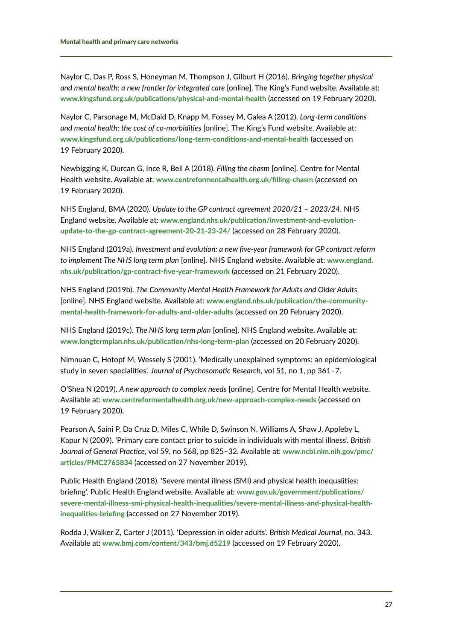Naylor C, Das P, Ross S, Honeyman M, Thompson J, Gilburt H (2016). *Bringing together physical and mental health: a new frontier for integrated care* [online]. The King's Fund website. Available at: **[www.kingsfund.org.uk/publications/physical-and-mental-health](http://www.kingsfund.org.uk/publications/physical-and-mental-health)** (accessed on 19 February 2020).

Naylor C, Parsonage M, McDaid D, Knapp M, Fossey M, Galea A (2012). *Long-term conditions and mental health: the cost of co-morbidities* [online]. The King's Fund website. Available at: **[www.kingsfund.org.uk/publications/long-term-conditions-and-mental-health](http://www.kingsfund.org.uk/publications/long-term-conditions-and-mental-health)** (accessed on 19 February 2020).

Newbigging K, Durcan G, Ince R, Bell A (2018). *Filling the chasm* [online]. Centre for Mental Health website. Available at: **[www.centreformentalhealth.org.uk/filling-chasm](http://www.centreformentalhealth.org.uk/filling-chasm)** (accessed on 19 February 2020).

NHS England, BMA (2020). *Update to the GP contract agreement 2020/21 – 2023/24*. NHS England website. Available at: **[www.england.nhs.uk/publication/investment-and-evolution](http://www.england.nhs.uk/publication/investment-and-evolution-update-to-the-gp-contract-agreement-20-21-23-24/)[update-to-the-gp-contract-agreement-20-21-23-24/](http://www.england.nhs.uk/publication/investment-and-evolution-update-to-the-gp-contract-agreement-20-21-23-24/)** (accessed on 28 February 2020).

NHS England (2019a). *Investment and evolution: a new five-year framework for GP contract reform to implement The NHS long term plan* [online]. NHS England website. Available at: **[www.england.](http://www.england.nhs.uk/publication/gp-contract-five-year-framework) [nhs.uk/publication/gp-contract-five-year-framework](http://www.england.nhs.uk/publication/gp-contract-five-year-framework)** (accessed on 21 February 2020).

NHS England (2019b). *The Community Mental Health Framework for Adults and Older Adults* [online]. NHS England website. Available at: **[www.england.nhs.uk/publication/the-community](http://www.england.nhs.uk/publication/the-community-mental-health-framework-for-adults-and-older-adults)[mental-health-framework-for-adults-and-older-adults](http://www.england.nhs.uk/publication/the-community-mental-health-framework-for-adults-and-older-adults)** (accessed on 20 February 2020).

NHS England (2019c). *The NHS long term plan* [online]. NHS England website. Available at: **[www.longtermplan.nhs.uk/publication/nhs-long-term-plan](http://www.longtermplan.nhs.uk/publication/nhs-long-term-plan)** (accessed on 20 February 2020).

Nimnuan C, Hotopf M, Wessely S (2001). 'Medically unexplained symptoms: an epidemiological study in seven specialities'. *Journal of Psychosomatic Research*, vol 51, no 1, pp 361–7.

O'Shea N (2019). *A new approach to complex needs* [online]. Centre for Mental Health website. Available at: **[www.centreformentalhealth.org.uk/new-approach-complex-needs](http://www.centreformentalhealth.org.uk/new-approach-complex-needs)** (accessed on 19 February 2020).

Pearson A, Saini P, Da Cruz D, Miles C, While D, Swinson N, Williams A, Shaw J, Appleby L, Kapur N (2009). 'Primary care contact prior to suicide in individuals with mental illness'. *British Journal of General Practice*, vol 59, no 568, pp 825–32. Available at: **[www.ncbi.nlm.nih.gov/pmc/](http://www.ncbi.nlm.nih.gov/pmc/articles/PMC2765834) [articles/PMC2765834](http://www.ncbi.nlm.nih.gov/pmc/articles/PMC2765834)** (accessed on 27 November 2019).

Public Health England (2018). 'Severe mental illness (SMI) and physical health inequalities: briefing'. Public Health England website. Available at: **[www.gov.uk/government/publications/](http://www.gov.uk/government/publications/severe-mental-illness-smi-physical-health-inequalities/severe-mental-illness-and-physical-health-inequalities-briefing) [severe-mental-illness-smi-physical-health-inequalities/severe-mental-illness-and-physical-health](http://www.gov.uk/government/publications/severe-mental-illness-smi-physical-health-inequalities/severe-mental-illness-and-physical-health-inequalities-briefing)[inequalities-briefing](http://www.gov.uk/government/publications/severe-mental-illness-smi-physical-health-inequalities/severe-mental-illness-and-physical-health-inequalities-briefing)** (accessed on 27 November 2019).

Rodda J, Walker Z, Carter J (2011). 'Depression in older adults'. *British Medical Journal*, no. 343. Available at: **[www.bmj.com/content/343/bmj.d5219](http://www.bmj.com/content/343/bmj.d5219)** (accessed on 19 February 2020).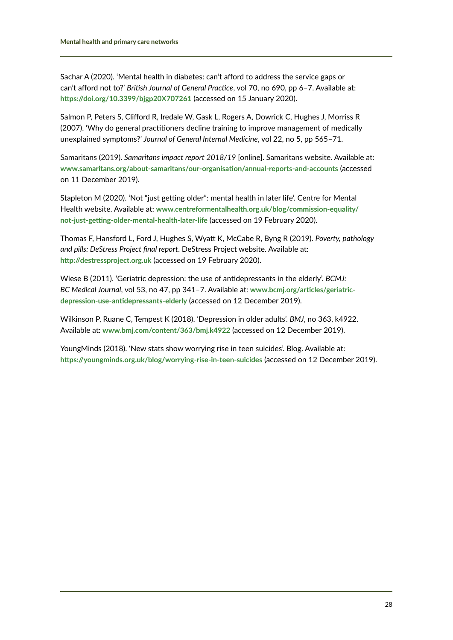Sachar A (2020). 'Mental health in diabetes: can't afford to address the service gaps or can't afford not to?' *British Journal of General Practice*, vol 70, no 690, pp 6–7. Available at: **<https://doi.org/10.3399/bjgp20X707261>** (accessed on 15 January 2020).

Salmon P, Peters S, Clifford R, Iredale W, Gask L, Rogers A, Dowrick C, Hughes J, Morriss R (2007). 'Why do general practitioners decline training to improve management of medically unexplained symptoms?' *Journal of General Internal Medicine*, vol 22, no 5, pp 565–71.

Samaritans (2019). *Samaritans impact report 2018/19* [online]. Samaritans website. Available at: **[www.samaritans.org/about-samaritans/our-organisation/annual-reports-and-accounts](http://www.samaritans.org/about-samaritans/our-organisation/annual-reports-and-accounts)** (accessed on 11 December 2019).

Stapleton M (2020). 'Not "just getting older": mental health in later life'. Centre for Mental Health website. Available at: **[www.centreformentalhealth.org.uk/blog/commission-equality/](http://www.centreformentalhealth.org.uk/blog/commission-equality/not-just-getting-older-mental-health-later-life) [not-just-getting-older-mental-health-later-life](http://www.centreformentalhealth.org.uk/blog/commission-equality/not-just-getting-older-mental-health-later-life)** (accessed on 19 February 2020).

Thomas F, Hansford L, Ford J, Hughes S, Wyatt K, McCabe R, Byng R (2019). *Poverty, pathology and pills: DeStress Project final report*. DeStress Project website. Available at: **<http://destressproject.org.uk>** (accessed on 19 February 2020).

Wiese B (2011). 'Geriatric depression: the use of antidepressants in the elderly'. *BCMJ: BC Medical Journal*, vol 53, no 47, pp 341–7. Available at: **[www.bcmj.org/articles/geriatric](http://www.bcmj.org/articles/geriatric-depression-use-antidepressants-elderly)[depression-use-antidepressants-elderly](http://www.bcmj.org/articles/geriatric-depression-use-antidepressants-elderly)** (accessed on 12 December 2019).

Wilkinson P, Ruane C, Tempest K (2018). 'Depression in older adults'. *BMJ*, no 363, k4922. Available at: **[www.bmj.com/content/363/bmj.k4922](http://www.bmj.com/content/363/bmj.k4922)** (accessed on 12 December 2019).

YoungMinds (2018). 'New stats show worrying rise in teen suicides'. Blog. Available at: **<https://youngminds.org.uk/blog/worrying-rise-in-teen-suicides>** (accessed on 12 December 2019).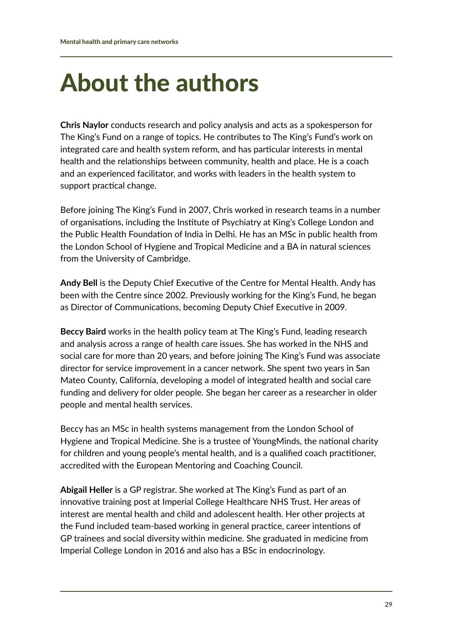# <span id="page-29-0"></span>About the authors

**Chris Naylor** conducts research and policy analysis and acts as a spokesperson for The King's Fund on a range of topics. He contributes to The King's Fund's work on integrated care and health system reform, and has particular interests in mental health and the relationships between community, health and place. He is a coach and an experienced facilitator, and works with leaders in the health system to support practical change.

Before joining The King's Fund in 2007, Chris worked in research teams in a number of organisations, including the Institute of Psychiatry at King's College London and the Public Health Foundation of India in Delhi. He has an MSc in public health from the London School of Hygiene and Tropical Medicine and a BA in natural sciences from the University of Cambridge.

**Andy Bell** is the Deputy Chief Executive of the Centre for Mental Health. Andy has been with the Centre since 2002. Previously working for the King's Fund, he began as Director of Communications, becoming Deputy Chief Executive in 2009.

**Beccy Baird** works in the health policy team at The King's Fund, leading research and analysis across a range of health care issues. She has worked in the NHS and social care for more than 20 years, and before joining The King's Fund was associate director for service improvement in a cancer network. She spent two years in San Mateo County, California, developing a model of integrated health and social care funding and delivery for older people. She began her career as a researcher in older people and mental health services.

Beccy has an MSc in health systems management from the London School of Hygiene and Tropical Medicine. She is a trustee of YoungMinds, the national charity for children and young people's mental health, and is a qualified coach practitioner, accredited with the European Mentoring and Coaching Council.

**Abigail Heller** is a GP registrar. She worked at The King's Fund as part of an innovative training post at Imperial College Healthcare NHS Trust. Her areas of interest are mental health and child and adolescent health. Her other projects at the Fund included team-based working in general practice, career intentions of GP trainees and social diversity within medicine. She graduated in medicine from Imperial College London in 2016 and also has a BSc in endocrinology.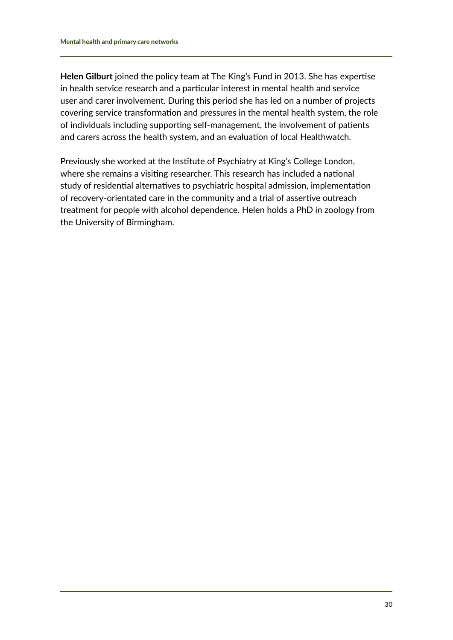**Helen Gilburt** joined the policy team at The King's Fund in 2013. She has expertise in health service research and a particular interest in mental health and service user and carer involvement. During this period she has led on a number of projects covering service transformation and pressures in the mental health system, the role of individuals including supporting self-management, the involvement of patients and carers across the health system, and an evaluation of local Healthwatch.

Previously she worked at the Institute of Psychiatry at King's College London, where she remains a visiting researcher. This research has included a national study of residential alternatives to psychiatric hospital admission, implementation of recovery-orientated care in the community and a trial of assertive outreach treatment for people with alcohol dependence. Helen holds a PhD in zoology from the University of Birmingham.